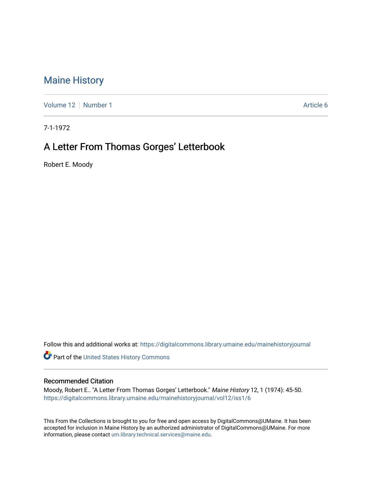## [Maine History](https://digitalcommons.library.umaine.edu/mainehistoryjournal)

[Volume 12](https://digitalcommons.library.umaine.edu/mainehistoryjournal/vol12) [Number 1](https://digitalcommons.library.umaine.edu/mainehistoryjournal/vol12/iss1) Article 6

7-1-1972

## A Letter From Thomas Gorges' Letterbook

Robert E. Moody

Follow this and additional works at: [https://digitalcommons.library.umaine.edu/mainehistoryjournal](https://digitalcommons.library.umaine.edu/mainehistoryjournal?utm_source=digitalcommons.library.umaine.edu%2Fmainehistoryjournal%2Fvol12%2Fiss1%2F6&utm_medium=PDF&utm_campaign=PDFCoverPages) 

Part of the [United States History Commons](http://network.bepress.com/hgg/discipline/495?utm_source=digitalcommons.library.umaine.edu%2Fmainehistoryjournal%2Fvol12%2Fiss1%2F6&utm_medium=PDF&utm_campaign=PDFCoverPages) 

## Recommended Citation

Moody, Robert E.. "A Letter From Thomas Gorges' Letterbook." Maine History 12, 1 (1974): 45-50. [https://digitalcommons.library.umaine.edu/mainehistoryjournal/vol12/iss1/6](https://digitalcommons.library.umaine.edu/mainehistoryjournal/vol12/iss1/6?utm_source=digitalcommons.library.umaine.edu%2Fmainehistoryjournal%2Fvol12%2Fiss1%2F6&utm_medium=PDF&utm_campaign=PDFCoverPages)

This From the Collections is brought to you for free and open access by DigitalCommons@UMaine. It has been accepted for inclusion in Maine History by an authorized administrator of DigitalCommons@UMaine. For more information, please contact [um.library.technical.services@maine.edu](mailto:um.library.technical.services@maine.edu).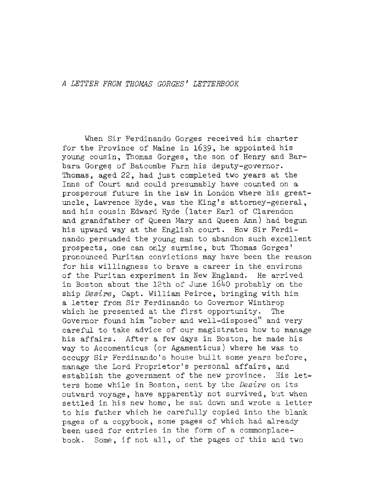When Sir Ferdinando Gorges received his charter for the Province of Maine in 1639, he appointed his young cousin, Thomas Gorges, the son of Henry and Barbara Gorges of Batcombe Farm his deputy-governor. Thomas, aged 22, had Just completed two years at the Inns of Court and could presumably have counted on a prosperous future in the law in London where his greatuncle, Lawrence Hyde, was the King's attorney-general, and his cousin Edward Hyde (later Earl of Clarendon and grandfather of Queen Mary and Queen Ann) had begun his upward way at the English court. How Sir Ferdinando persuaded the young man to abandon such excellent prospects, one can only surmise, but Thomas Gorges' pronounced Puritan convictions may have been the reason for his willingness to brave a career in the environs of the Puritan experiment in New England. He arrived in Boston about the 12th of June 1640 probably on the ship *Desire*, Capt. William Peirce, bringing with him <sup>a</sup> letter from Sir Ferdinando to Governor Winthrop which he presented at the first opportunity. The Governor found him ''sober and well-disposed" and very careful to take advice of our magistrates how to manage his affairs. After <sup>a</sup> few days in Boston, he made his way to Accomenticus (or Agamenticus) where he was to occupy Sir Ferdinando'<sup>s</sup> house built some years before, manage the Lord Proprietor's personal affairs, and<br>establish the government of the new province. His letestablish the government of the new province. ters home while in Boston, sent by the *Desire* on its outward voyage, have apparently not survived, but when settled in his new home, he sat down and wrote <sup>a</sup> letter to his father which he carefully copied into the blank pages of a copybook, some pages of which had already been used for entries in the form of <sup>a</sup> commonplacebook. Some, if not all, of the pages of this and two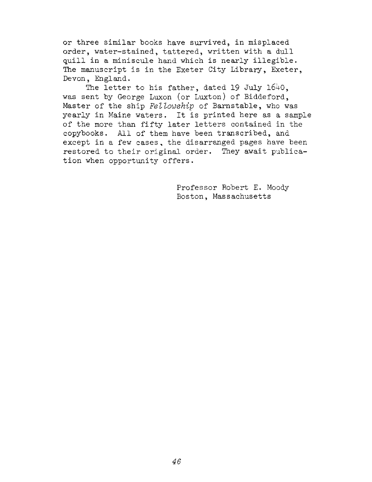or three similar books have survived, in misplaced order, water-stained, tattered, written with a dull quill in <sup>a</sup> miniscule hand which is nearly illegible. The manuscript is in the Exeter City Library, Exeter, Devon, England.

The letter to his father, dated <sup>19</sup> July 1640, was sent by George Luxon (or Luxton) of Biddeford, Master of the ship *Fellowship* of Barnstable, who was yearly in Maine waters. It is printed here as <sup>a</sup> sample of the more than fifty later letters contained in the copybooks. All of them have been transcribed, and except in a few cases, the disarranged pages have been restored to their original order. They await publication when opportunity offers.

> Professor Robert E. Moody Boston, Massachusetts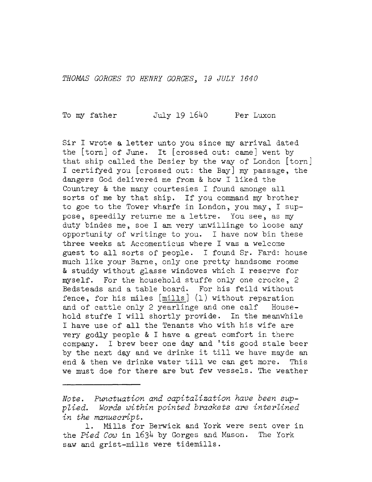*THOMAS GORGES TO HENRY GORGES. 19 JULY 1640*

To my father July 19 1640 Per Luxon

Sir I wrote <sup>a</sup> letter unto you since my arrival dated the [torn] of June. It [crossed out: came] went by that ship called the Desier by the way of London [torn] I certified you [crossed out: the Bay] my passage, the dangers God delivered me from & how I liked the Countrey & the many courtesies I found amonge all sorts of me by that ship. If you command my brother to goe to the Tower wharfe in London, you may, I suppose, speedily returne me <sup>a</sup> lettre. You see, as my duty bindes me, soe I am very unwillinge to loose any opportunity of writinge to you. I have now bin these three weeks at Accomenticus where I was a welcome guest to all sorts of people. I found Sr. Fard: house much like your Barne, only one pretty handsome roome & studdy without glasse windowes which I reserve for myself. For the household stuffe only one crocke, <sup>2</sup> Bedsteads and <sup>a</sup> table board. For his feild without fence, for his miles [mills] (1) without reparation and of cattle only <sup>2</sup> yearlinge and one calf Household stuffe I will shortly provide. In the meanwhile I have use of all the Tenants who with his wife are very godly people & I have a great comfort in there company. I brew beer one day and 'tis good stale beer by the next day and we drinke it till we have mayde an end & then we drinke water till we can get more. This end & then we drinke water till we can get more. we must doe for there are but few vessels. The weather

*Note, Punctuation and capitalization have been supplied. Words within pointed brackets are interlined in the manuscript.*

<sup>1.</sup> Mills for Berwick and York were sent over in the *Pied Cow* in 1634 by Gorges and Mason. The York saw and grist-mills were tidemills.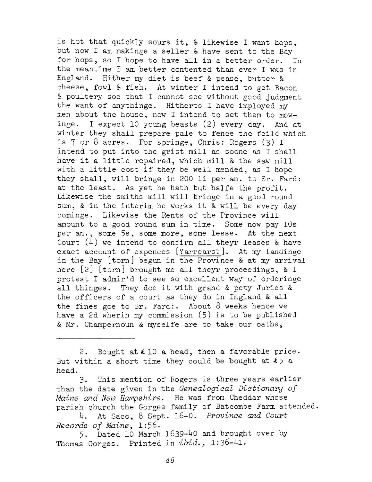is hot that quickly sours it, & likewise I want hops, but now I am makinge <sup>a</sup> seller & have sent to the Bay for hops, so I hope to have all in <sup>a</sup> better order. In the meantime I am better contented than ever I was in England. Hither my diet is beef & pease, butter & cheese, fowl & fish. At winter I intend to get Bacon & poultery soe that I cannot see without good judgment the want of anythinge. Hitherto I have imployed my men about the house, now I intend to set them to mowinge. I expect <sup>10</sup> young beasts (2) every day. And at winter they shall prepare pale to fence the feild which is <sup>7</sup> or <sup>8</sup> acres. For springe, Chris: Rogers (3) I intend to put into the grist mill as soone as I shall have it <sup>a</sup> little repaired, which mill & the saw mill with <sup>a</sup> little cost if they be well mended, as I hope they shall, will bringe in <sup>200</sup> li per an. to Sr. Fard: at the least. As yet he hath but halfe the profit. Likewise the smiths mill will bringe in <sup>a</sup> good round sum, & in the interim he works it & will be every day cominge. Likewise the Rents of the Province will amount to a good round sum in time. Some now pay 10s per an., some 5s, some more, some lesse. At the next Court  $(4)$  we intend to confirm all theyr leases & have exact account of expences [?arrears?]. At my landinge in the Bay [torn] begun in the Province & at my arrival here [2] [torn] brought me all theyr proceedings, & I protest <sup>I</sup> admir'<sup>d</sup> to see so excellent way of orderinge all thinges. They doe it with grand & pety Juries & the officers of <sup>a</sup> court as they do in Ingland & all the fines goe to Sr. Fard:. About  $8$  weeks hence we have a 2d wherin my commission (5) is to be published & Mr. Champernoun & myselfe are to take our oaths,

2. Bought at  $\leq 10$  a head, then a favorable price. But within a short time they could be bought at  $\pounds$  5 a head.

3. This mention of Rogers is three years earlier than the date given in the *Genealogical Dictionary of Maine and New Hampshire.* He was from Cheddar whose parish church the Gorges family of Batcombe Farm attended.

4. At Saco, <sup>8</sup> Sept. 1640. *Province and Court Records of Maine<sup>&</sup>gt;* 1:56.

5. Dated 10 March 1639-40 and brought over by Thomas Gorges. Printed in  $ibid.$ , 1:36-41.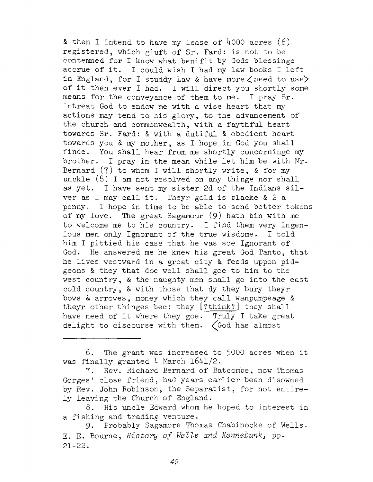*8c* then I intend to have my lease of H000 acres (6) registered, which giuft of Sr. Fard: is not to be contemned for I know what benifit by Gods blessinge accrue of it. I could wish I had my law books I left in England, for I studdy Law & have more  $\zeta$  need to use) of it then ever I had. I will direct you shortly some means for the conveyance of them to me. I pray Sr. intreat God to endow me with a wise heart that my actions may tend to his glory, to the advancement of the church and commonwealth, with a faythful heart towards Sr. Fard: & with a dutiful & obedient heart towards you & my mother, as I hope in God you shall finde. You shall hear from me shortly concerninge my brother. I pray in the mean while let him be with Mr. Bernard  $(7)$  to whom I will shortly write, & for my unckle  $(8)$  I am not resolved on any thinge nor shall as yet. I have sent my sister 2d of the Indians silver as I may call it. Theyr gold is blacke  $& 2a$ penny. I hope in time to be able to send better tokens of my love. The great Sagamour (9) hath bin with me to welcome me to his country. I find them very ingenious men only Ignorant of the true wisdome. I told him I pittied his case that he was soe Ignorant of God. He answered me he knew his great God Tanto, that he lives westward in a great city & feeds uppon pidgeons & they that doe well shall goe to him to the west country, & the naughty men shall go into the east cold country, & with those that dy they bury theyr bows & arrowes, money which they call wanpumpeage & theyr other thinges bee: they [?think? ] they shall have need of it where they goe. Truly I take great delight to discourse with them.  $\zeta$  God has almost

6. The grant was increased to <sup>5000</sup> acres when it was finally granted 4 March  $1641/2$ .

7- Rev. Richard Bernard of Batcombe, now Thomas Gorges' close friend, had years earlier been disowned by Rev. John Robinson, the Separatist, for not entirely leaving the Church of England.

8. His uncle Edward whom he hoped to interest in a fishing and trading venture.

9. Probably Sagamore Thomas Chabinocke of Wells. E. E. Bourne, *History of WelZs and Kennebunk^* pp. 21-22.